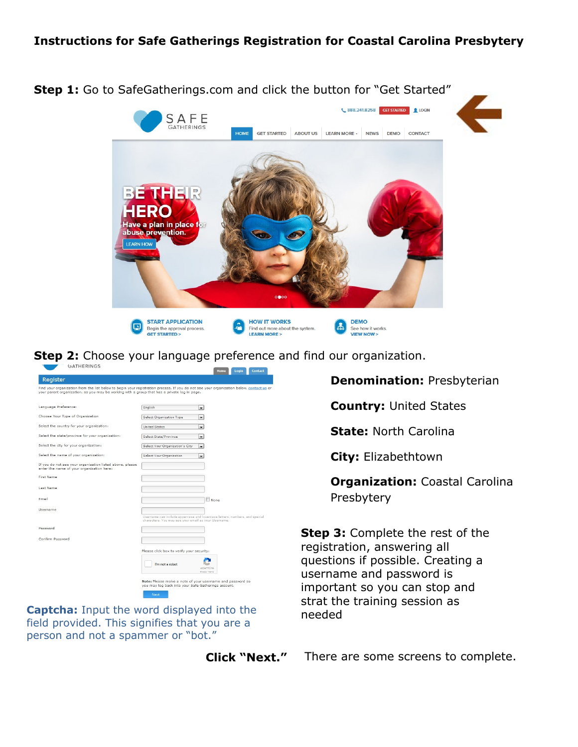## **Instructions for Safe Gatherings Registration for Coastal Carolina Presbytery**



**Step 2:** Choose your language preference and find our organization.

| Register                                                                                              |                                                                                                                                         |
|-------------------------------------------------------------------------------------------------------|-----------------------------------------------------------------------------------------------------------------------------------------|
| your parent organization, as you may be working with a group that has a private log in page.          | Find your organization from the list below to begin your registration process. If you do not see your organization below, contact us or |
| Language Preference:                                                                                  | English<br>$\cdot$                                                                                                                      |
| Choose Your Type of Organization                                                                      | Select Organization Type<br>$\cdot$                                                                                                     |
| Select the country for your organization:                                                             | <b>United States</b><br>$\cdot$                                                                                                         |
| Select the state/province for your organization:                                                      | Select State/Province<br>$\cdot$                                                                                                        |
| Select the city for your organization:                                                                | Select Your Organization's City<br>$\cdot$                                                                                              |
| Select the name of your organization:                                                                 | Select Your Organization<br>$\cdot$                                                                                                     |
| If you do not see your organization listed above, please<br>enter the name of your organization here: |                                                                                                                                         |
| First Name                                                                                            |                                                                                                                                         |
| Last Name                                                                                             |                                                                                                                                         |
| Email                                                                                                 | <b>None</b>                                                                                                                             |
| Username                                                                                              |                                                                                                                                         |
|                                                                                                       | Username can include uppercase and lowercase letters, numbers, and special<br>characters. You may use your email as your Username.      |
| Password                                                                                              |                                                                                                                                         |
| Confirm Password                                                                                      |                                                                                                                                         |
|                                                                                                       | Please click box to verify your security:                                                                                               |
|                                                                                                       | I'm not a robot<br><b>IMCARTCH</b><br>Privacy - Terr                                                                                    |
|                                                                                                       | Note: Please make a note of your username and password so                                                                               |
|                                                                                                       | you may log back into your Safe Gatherings account.                                                                                     |

**Captcha:** Input the word displayed into the field provided. This signifies that you are a person and not a spammer or "bot."

**Click "Next."**

**Denomination:** Presbyterian

**Country:** United States

**State:** North Carolina

**City:** Elizabethtown

**Organization:** Coastal Carolina Presbytery

**Step 3:** Complete the rest of the registration, answering all questions if possible. Creating a username and password is important so you can stop and strat the training session as needed

There are some screens to complete.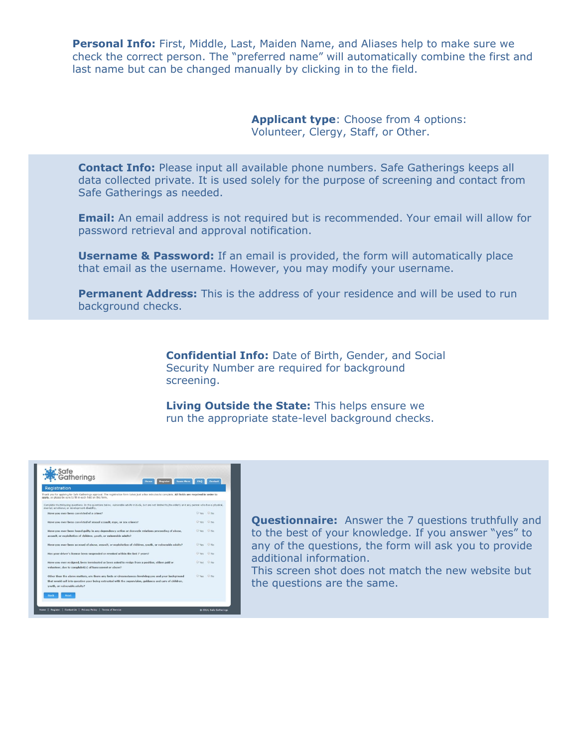**Personal Info:** First, Middle, Last, Maiden Name, and Aliases help to make sure we check the correct person. The "preferred name" will automatically combine the first and last name but can be changed manually by clicking in to the field.

> **Applicant type**: Choose from 4 options: Volunteer, Clergy, Staff, or Other.

**Contact Info:** Please input all available phone numbers. Safe Gatherings keeps all data collected private. It is used solely for the purpose of screening and contact from Safe Gatherings as needed.

**Email:** An email address is not required but is recommended. Your email will allow for password retrieval and approval notification.

**Username & Password:** If an email is provided, the form will automatically place that email as the username. However, you may modify your username.

**Permanent Address:** This is the address of your residence and will be used to run background checks.

> **Confidential Info:** Date of Birth, Gender, and Social Security Number are required for background screening.

**Living Outside the State:** This helps ensure we run the appropriate state-level background checks.



**Questionnaire:** Answer the 7 questions truthfully and to the best of your knowledge. If you answer "yes" to any of the questions, the form will ask you to provide additional information.

This screen shot does not match the new website but the questions are the same.